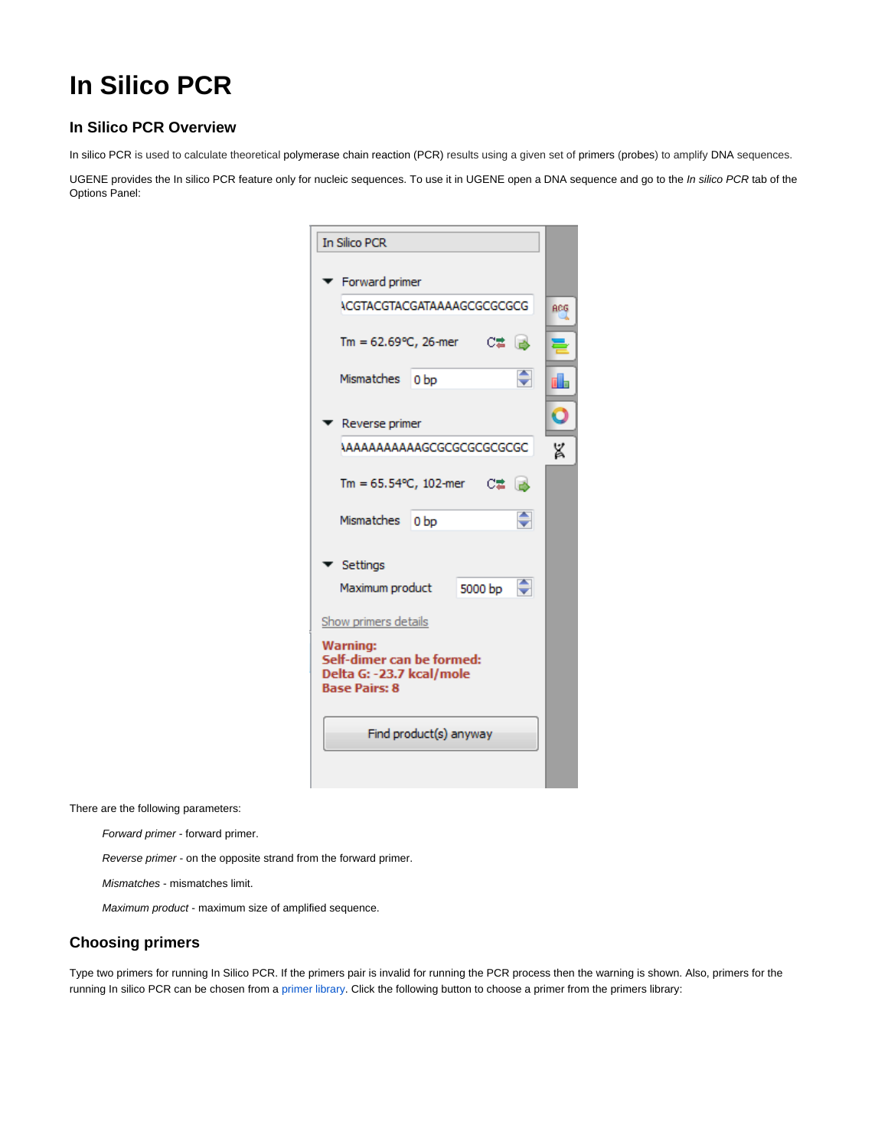## **In Silico PCR**

## **In Silico PCR Overview**

In silico PCR is used to calculate theoretical polymerase chain reaction (PCR) results using a given set of primers (probes) to amplify DNA sequences.

UGENE provides the In silico PCR feature only for nucleic sequences. To use it in UGENE open a DNA sequence and go to the In silico PCR tab of the Options Panel:

| <b>In Silico PCR</b>                                                                             |            |
|--------------------------------------------------------------------------------------------------|------------|
| Forward primer                                                                                   |            |
| <b>ACGTACGTACGATAAAAGCGCGCGCG</b>                                                                | <b>ACG</b> |
| Tm = 62.69 °C, 26-mer C# B                                                                       |            |
| ♦<br>Mismatches<br>0 <sub>bp</sub>                                                               |            |
| Reverse primer                                                                                   |            |
|                                                                                                  | X          |
| Tm = 65.54°C, 102-mer C君 B                                                                       |            |
| ♦<br>Mismatches<br>0 <sub>bp</sub>                                                               |            |
| Settings                                                                                         |            |
| Maximum product 5000 bp                                                                          |            |
| Show primers details                                                                             |            |
| <b>Warning:</b><br>Self-dimer can be formed:<br>Delta G: -23.7 kcal/mole<br><b>Base Pairs: 8</b> |            |
| Find product(s) anyway                                                                           |            |

There are the following parameters:

Forward primer - forward primer.

Reverse primer - on the opposite strand from the forward primer.

Mismatches - mismatches limit.

Maximum product - maximum size of amplified sequence.

## **Choosing primers**

Type two primers for running In Silico PCR. If the primers pair is invalid for running the PCR process then the warning is shown. Also, primers for the running In silico PCR can be chosen from a [primer library](https://ugene.unipro.ru/wiki/display/UUOUM15/Primer+Library). Click the following button to choose a primer from the primers library: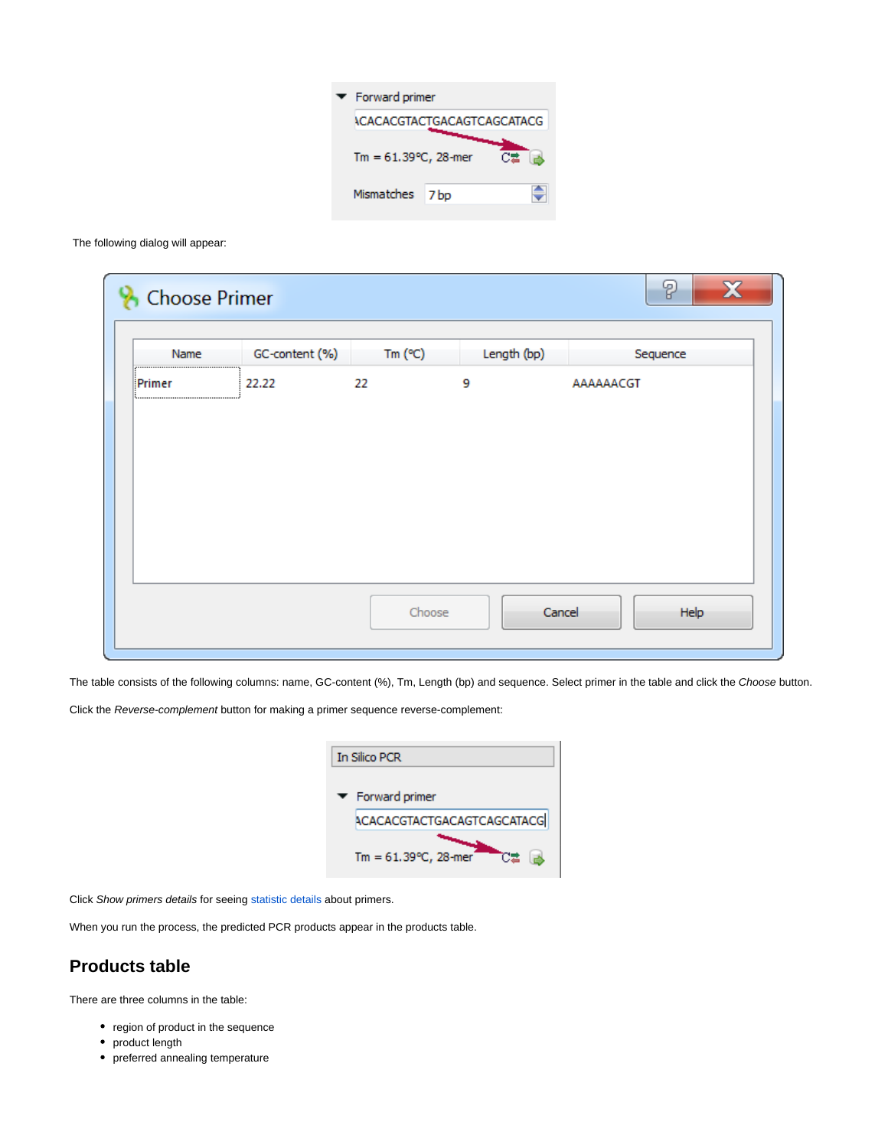| $\blacktriangleright$ Forward primer |                                   |  |  |
|--------------------------------------|-----------------------------------|--|--|
|                                      | <b>ACACACGTACTGACAGTCAGCATACG</b> |  |  |
| Tm = $61.39^{\circ}$ C, 28-mer       |                                   |  |  |
| Mismatches                           | 7 <sub>bp</sub>                   |  |  |

The following dialog will appear:

| Name   | GC-content (%) | Tm $(C)$ | Length (bp) | Sequence       |
|--------|----------------|----------|-------------|----------------|
| Primer | 22.22          | 22       | 9           | AAAAAACGT      |
|        |                | Choose   |             | Cancel<br>Help |

The table consists of the following columns: name, GC-content (%), Tm, Length (bp) and sequence. Select primer in the table and click the Choose button.

Click the Reverse-complement button for making a primer sequence reverse-complement:

| <b>In Silico PCR</b> |                                      |  |  |  |
|----------------------|--------------------------------------|--|--|--|
|                      | $\blacktriangleright$ Forward primer |  |  |  |
|                      | <b>ACACACGTACTGACAGTCAGCATACG</b>    |  |  |  |
|                      | Tm = $61.39^{\circ}$ C, 28-mer       |  |  |  |

Click Show primers details for seeing [statistic details](https://ugene.unipro.ru/wiki/display/UUOUM15/Primers+Details) about primers.

When you run the process, the predicted PCR products appear in the products table.

## **Products table**

There are three columns in the table:

- region of product in the sequence
- product length
- preferred annealing temperature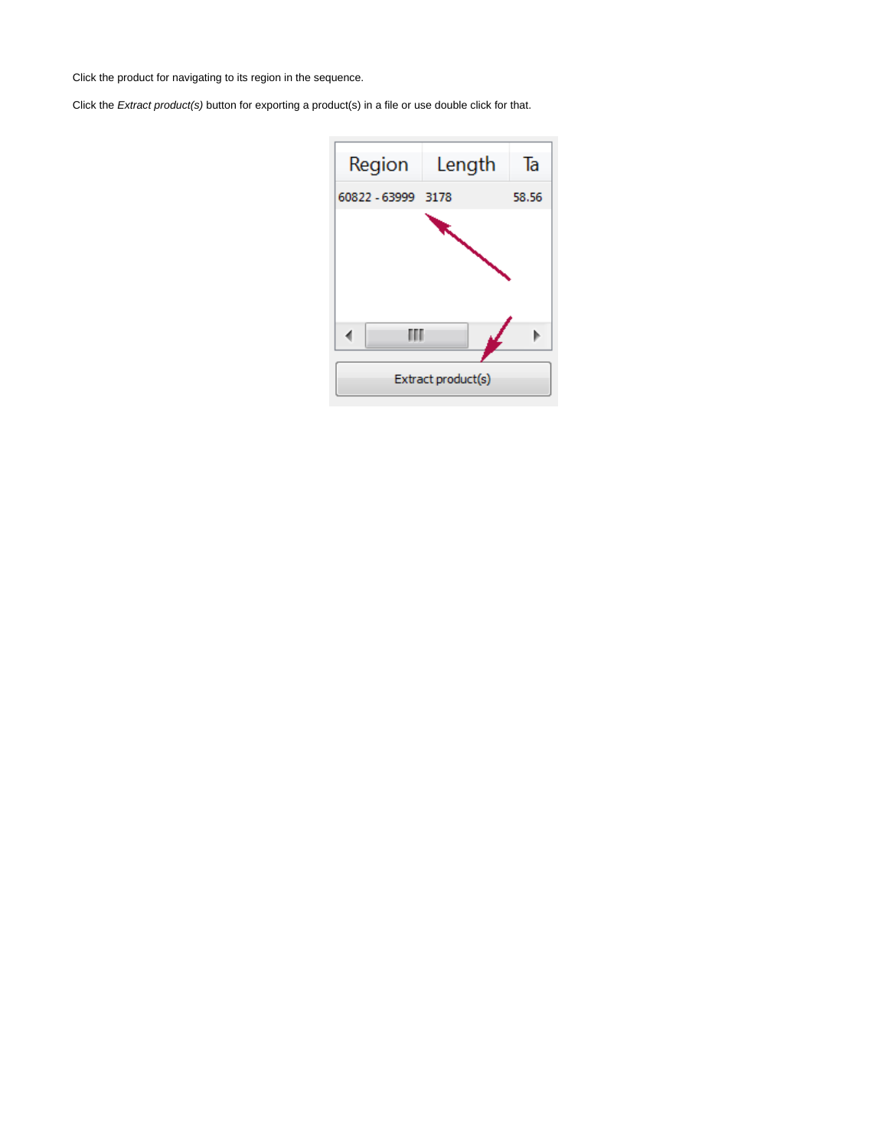Click the product for navigating to its region in the sequence.

Click the Extract product(s) button for exporting a product(s) in a file or use double click for that.